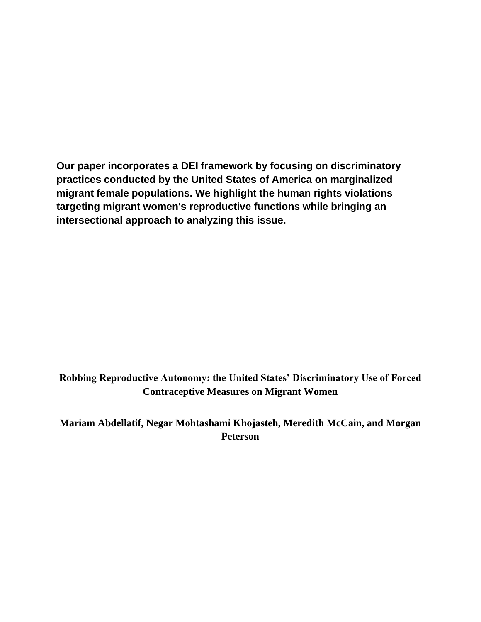**Our paper incorporates a DEI framework by focusing on discriminatory practices conducted by the United States of America on marginalized migrant female populations. We highlight the human rights violations targeting migrant women's reproductive functions while bringing an intersectional approach to analyzing this issue.** 

**Robbing Reproductive Autonomy: the United States' Discriminatory Use of Forced Contraceptive Measures on Migrant Women** 

**Mariam Abdellatif, Negar Mohtashami Khojasteh, Meredith McCain, and Morgan Peterson**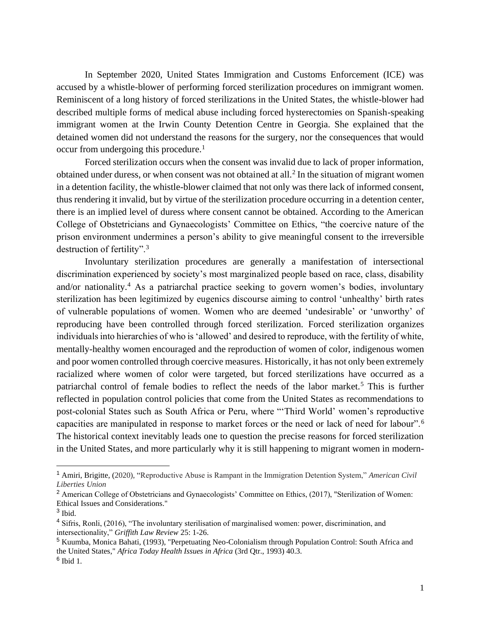In September 2020, United States Immigration and Customs Enforcement (ICE) was accused by a whistle-blower of performing forced sterilization procedures on immigrant women. Reminiscent of a long history of forced sterilizations in the United States, the whistle-blower had described multiple forms of medical abuse including forced hysterectomies on Spanish-speaking immigrant women at the Irwin County Detention Centre in Georgia. She explained that the detained women did not understand the reasons for the surgery, nor the consequences that would occur from undergoing this procedure.<sup>1</sup>

Forced sterilization occurs when the consent was invalid due to lack of proper information, obtained under duress, or when consent was not obtained at all.<sup>2</sup> In the situation of migrant women in a detention facility, the whistle-blower claimed that not only was there lack of informed consent, thus rendering it invalid, but by virtue of the sterilization procedure occurring in a detention center, there is an implied level of duress where consent cannot be obtained. According to the American College of Obstetricians and Gynaecologists' Committee on Ethics, "the coercive nature of the prison environment undermines a person's ability to give meaningful consent to the irreversible destruction of fertility".<sup>3</sup>

Involuntary sterilization procedures are generally a manifestation of intersectional discrimination experienced by society's most marginalized people based on race, class, disability and/or nationality.<sup>4</sup> As a patriarchal practice seeking to govern women's bodies, involuntary sterilization has been legitimized by eugenics discourse aiming to control 'unhealthy' birth rates of vulnerable populations of women. Women who are deemed 'undesirable' or 'unworthy' of reproducing have been controlled through forced sterilization. Forced sterilization organizes individuals into hierarchies of who is 'allowed' and desired to reproduce, with the fertility of white, mentally-healthy women encouraged and the reproduction of women of color, indigenous women and poor women controlled through coercive measures. Historically, it has not only been extremely racialized where women of color were targeted, but forced sterilizations have occurred as a patriarchal control of female bodies to reflect the needs of the labor market.<sup>5</sup> This is further reflected in population control policies that come from the United States as recommendations to post-colonial States such as South Africa or Peru, where "'Third World' women's reproductive capacities are manipulated in response to market forces or the need or lack of need for labour".<sup>6</sup> The historical context inevitably leads one to question the precise reasons for forced sterilization in the United States, and more particularly why it is still happening to migrant women in modern-

<sup>1</sup> Amiri, Brigitte, (2020), "Reproductive Abuse is Rampant in the Immigration Detention System," *American Civil Liberties Union*

<sup>&</sup>lt;sup>2</sup> American College of Obstetricians and Gynaecologists' Committee on Ethics, (2017), "Sterilization of Women: Ethical Issues and Considerations."

<sup>&</sup>lt;sup>3</sup> Ibid.

<sup>4</sup> Sifris, Ronli, (2016), "The involuntary sterilisation of marginalised women: power, discrimination, and intersectionality," *Griffith Law Review* 25: 1-26.

<sup>5</sup> Kuumba, Monica Bahati, (1993), "Perpetuating Neo-Colonialism through Population Control: South Africa and the United States," *Africa Today Health Issues in Africa* (3rd Qtr., 1993) 40.3. 6 Ibid 1.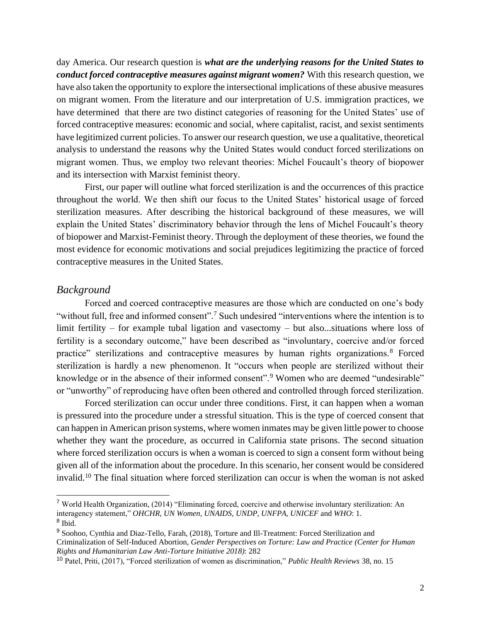day America. Our research question is *what are the underlying reasons for the United States to conduct forced contraceptive measures against migrant women?* With this research question, we have also taken the opportunity to explore the intersectional implications of these abusive measures on migrant women. From the literature and our interpretation of U.S. immigration practices, we have determined that there are two distinct categories of reasoning for the United States' use of forced contraceptive measures: economic and social, where capitalist, racist, and sexist sentiments have legitimized current policies. To answer our research question, we use a qualitative, theoretical analysis to understand the reasons why the United States would conduct forced sterilizations on migrant women. Thus, we employ two relevant theories: Michel Foucault's theory of biopower and its intersection with Marxist feminist theory.

First, our paper will outline what forced sterilization is and the occurrences of this practice throughout the world. We then shift our focus to the United States' historical usage of forced sterilization measures. After describing the historical background of these measures, we will explain the United States' discriminatory behavior through the lens of Michel Foucault's theory of biopower and Marxist-Feminist theory. Through the deployment of these theories, we found the most evidence for economic motivations and social prejudices legitimizing the practice of forced contraceptive measures in the United States.

## *Background*

Forced and coerced contraceptive measures are those which are conducted on one's body "without full, free and informed consent".<sup>7</sup> Such undesired "interventions where the intention is to limit fertility – for example tubal ligation and vasectomy – but also...situations where loss of fertility is a secondary outcome," have been described as "involuntary, coercive and/or forced practice" sterilizations and contraceptive measures by human rights organizations.<sup>8</sup> Forced sterilization is hardly a new phenomenon. It "occurs when people are sterilized without their knowledge or in the absence of their informed consent".<sup>9</sup> Women who are deemed "undesirable" or "unworthy" of reproducing have often been othered and controlled through forced sterilization.

Forced sterilization can occur under three conditions. First, it can happen when a woman is pressured into the procedure under a stressful situation. This is the type of coerced consent that can happen in American prison systems, where women inmates may be given little power to choose whether they want the procedure, as occurred in California state prisons. The second situation where forced sterilization occurs is when a woman is coerced to sign a consent form without being given all of the information about the procedure. In this scenario, her consent would be considered invalid.<sup>10</sup> The final situation where forced sterilization can occur is when the woman is not asked

<sup>7</sup> World Health Organization, (2014) "Eliminating forced, coercive and otherwise involuntary sterilization: An interagency statement," *OHCHR, UN Women, UNAIDS, UNDP, UNFPA, UNICEF* and *WHO*: 1. <sup>8</sup> Ibid.

<sup>9</sup> Soohoo, Cynthia and Diaz-Tello, Farah, (2018), Torture and Ill-Treatment: Forced Sterilization and Criminalization of Self-Induced Abortion, *Gender Perspectives on Torture: Law and Practice (Center for Human Rights and Humanitarian Law Anti-Torture Initiative 2018)*: 282

<sup>10</sup> Patel, Priti, (2017), "Forced sterilization of women as discrimination," *Public Health Reviews* 38, no. 15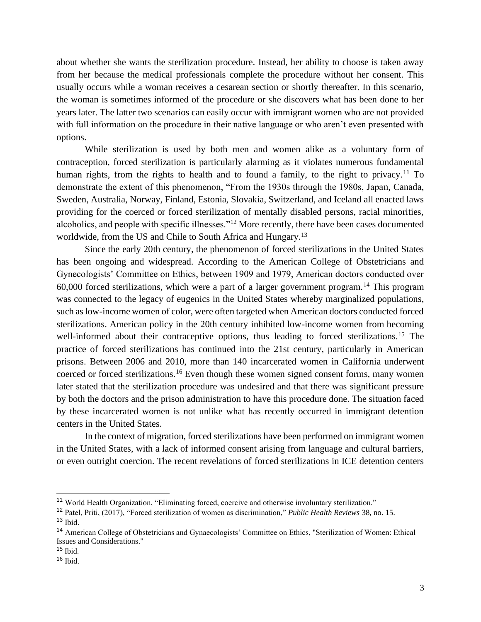about whether she wants the sterilization procedure. Instead, her ability to choose is taken away from her because the medical professionals complete the procedure without her consent. This usually occurs while a woman receives a cesarean section or shortly thereafter. In this scenario, the woman is sometimes informed of the procedure or she discovers what has been done to her years later. The latter two scenarios can easily occur with immigrant women who are not provided with full information on the procedure in their native language or who aren't even presented with options.

While sterilization is used by both men and women alike as a voluntary form of contraception, forced sterilization is particularly alarming as it violates numerous fundamental human rights, from the rights to health and to found a family, to the right to privacy.<sup>11</sup> To demonstrate the extent of this phenomenon, "From the 1930s through the 1980s, Japan, Canada, Sweden, Australia, Norway, Finland, Estonia, Slovakia, Switzerland, and Iceland all enacted laws providing for the coerced or forced sterilization of mentally disabled persons, racial minorities, alcoholics, and people with specific illnesses."<sup>12</sup> More recently, there have been cases documented worldwide, from the US and Chile to South Africa and Hungary.<sup>13</sup>

Since the early 20th century, the phenomenon of forced sterilizations in the United States has been ongoing and widespread. According to the American College of Obstetricians and Gynecologists' Committee on Ethics, between 1909 and 1979, American doctors conducted over 60,000 forced sterilizations, which were a part of a larger government program.<sup>14</sup> This program was connected to the legacy of eugenics in the United States whereby marginalized populations, such as low-income women of color, were often targeted when American doctors conducted forced sterilizations. American policy in the 20th century inhibited low-income women from becoming well-informed about their contraceptive options, thus leading to forced sterilizations.<sup>15</sup> The practice of forced sterilizations has continued into the 21st century, particularly in American prisons. Between 2006 and 2010, more than 140 incarcerated women in California underwent coerced or forced sterilizations.<sup>16</sup> Even though these women signed consent forms, many women later stated that the sterilization procedure was undesired and that there was significant pressure by both the doctors and the prison administration to have this procedure done. The situation faced by these incarcerated women is not unlike what has recently occurred in immigrant detention centers in the United States.

In the context of migration, forced sterilizations have been performed on immigrant women in the United States, with a lack of informed consent arising from language and cultural barriers, or even outright coercion. The recent revelations of forced sterilizations in ICE detention centers

<sup>11</sup> World Health Organization, "Eliminating forced, coercive and otherwise involuntary sterilization."

<sup>12</sup> Patel, Priti, (2017), "Forced sterilization of women as discrimination," *Public Health Reviews* 38, no. 15.

 $13$  Ibid.

<sup>14</sup> American College of Obstetricians and Gynaecologists' Committee on Ethics, "Sterilization of Women: Ethical Issues and Considerations."

 $15$  Ibid.

 $16$  Ibid.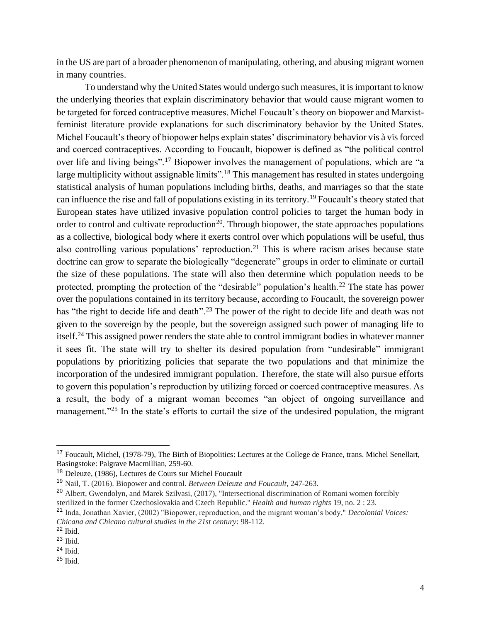in the US are part of a broader phenomenon of manipulating, othering, and abusing migrant women in many countries.

To understand why the United States would undergo such measures, it is important to know the underlying theories that explain discriminatory behavior that would cause migrant women to be targeted for forced contraceptive measures. Michel Foucault's theory on biopower and Marxistfeminist literature provide explanations for such discriminatory behavior by the United States. Michel Foucault's theory of biopower helps explain states' discriminatory behavior vis à vis forced and coerced contraceptives. According to Foucault, biopower is defined as "the political control over life and living beings".<sup>17</sup> Biopower involves the management of populations, which are "a large multiplicity without assignable limits".<sup>18</sup> This management has resulted in states undergoing statistical analysis of human populations including births, deaths, and marriages so that the state can influence the rise and fall of populations existing in its territory.<sup>19</sup> Foucault's theory stated that European states have utilized invasive population control policies to target the human body in order to control and cultivate reproduction<sup>20</sup>. Through biopower, the state approaches populations as a collective, biological body where it exerts control over which populations will be useful, thus also controlling various populations' reproduction.<sup>21</sup> This is where racism arises because state doctrine can grow to separate the biologically "degenerate" groups in order to eliminate or curtail the size of these populations. The state will also then determine which population needs to be protected, prompting the protection of the "desirable" population's health.<sup>22</sup> The state has power over the populations contained in its territory because, according to Foucault, the sovereign power has "the right to decide life and death".<sup>23</sup> The power of the right to decide life and death was not given to the sovereign by the people, but the sovereign assigned such power of managing life to itself.<sup>24</sup> This assigned power renders the state able to control immigrant bodies in whatever manner it sees fit. The state will try to shelter its desired population from "undesirable" immigrant populations by prioritizing policies that separate the two populations and that minimize the incorporation of the undesired immigrant population. Therefore, the state will also pursue efforts to govern this population's reproduction by utilizing forced or coerced contraceptive measures. As a result, the body of a migrant woman becomes "an object of ongoing surveillance and management."<sup>25</sup> In the state's efforts to curtail the size of the undesired population, the migrant

<sup>&</sup>lt;sup>17</sup> Foucault, Michel, (1978-79), The Birth of Biopolitics: Lectures at the College de France, trans. Michel Senellart, Basingstoke: Palgrave Macmillian, 259-60.

<sup>18</sup> Deleuze, (1986), Lectures de Cours sur Michel Foucault

<sup>19</sup> Nail, T. (2016). Biopower and control. *Between Deleuze and Foucault*, 247-263.

<sup>&</sup>lt;sup>20</sup> Albert, Gwendolyn, and Marek Szilvasi, (2017), "Intersectional discrimination of Romani women forcibly sterilized in the former Czechoslovakia and Czech Republic." *Health and human rights* 19, no. 2 : 23.

<sup>21</sup> Inda, Jonathan Xavier, (2002) "Biopower, reproduction, and the migrant woman's body," *Decolonial Voices: Chicana and Chicano cultural studies in the 21st century*: 98-112.

<sup>22</sup> Ibid.

<sup>23</sup> Ibid.

 $24$  Ibid.

<sup>25</sup> Ibid.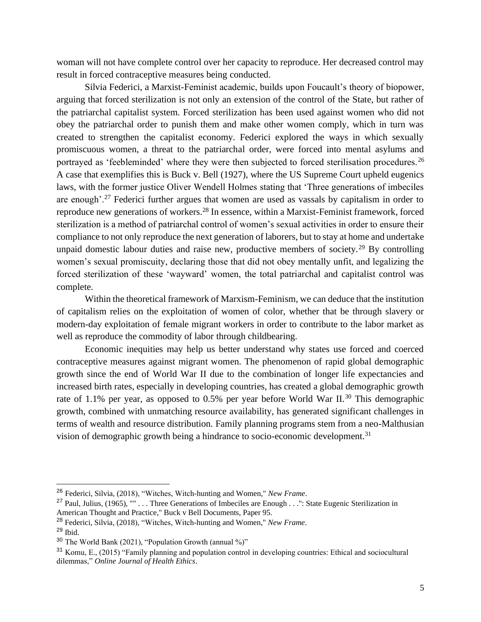woman will not have complete control over her capacity to reproduce. Her decreased control may result in forced contraceptive measures being conducted.

Silvia Federici, a Marxist-Feminist academic, builds upon Foucault's theory of biopower, arguing that forced sterilization is not only an extension of the control of the State, but rather of the patriarchal capitalist system. Forced sterilization has been used against women who did not obey the patriarchal order to punish them and make other women comply, which in turn was created to strengthen the capitalist economy. Federici explored the ways in which sexually promiscuous women, a threat to the patriarchal order, were forced into mental asylums and portrayed as 'feebleminded' where they were then subjected to forced sterilisation procedures.<sup>26</sup> A case that exemplifies this is Buck v. Bell (1927), where the US Supreme Court upheld eugenics laws, with the former justice Oliver Wendell Holmes stating that 'Three generations of imbeciles are enough'.<sup>27</sup> Federici further argues that women are used as vassals by capitalism in order to reproduce new generations of workers.<sup>28</sup> In essence, within a Marxist-Feminist framework, forced sterilization is a method of patriarchal control of women's sexual activities in order to ensure their compliance to not only reproduce the next generation of laborers, but to stay at home and undertake unpaid domestic labour duties and raise new, productive members of society.<sup>29</sup> By controlling women's sexual promiscuity, declaring those that did not obey mentally unfit, and legalizing the forced sterilization of these 'wayward' women, the total patriarchal and capitalist control was complete.

Within the theoretical framework of Marxism-Feminism, we can deduce that the institution of capitalism relies on the exploitation of women of color, whether that be through slavery or modern-day exploitation of female migrant workers in order to contribute to the labor market as well as reproduce the commodity of labor through childbearing.

Economic inequities may help us better understand why states use forced and coerced contraceptive measures against migrant women. The phenomenon of rapid global demographic growth since the end of World War II due to the combination of longer life expectancies and increased birth rates, especially in developing countries, has created a global demographic growth rate of 1.1% per year, as opposed to 0.5% per year before World War II.<sup>30</sup> This demographic growth, combined with unmatching resource availability, has generated significant challenges in terms of wealth and resource distribution. Family planning programs stem from a neo-Malthusian vision of demographic growth being a hindrance to socio-economic development.<sup>31</sup>

<sup>26</sup> Federici, Silvia, (2018), "Witches, Witch-hunting and Women," *New Frame*.

<sup>&</sup>lt;sup>27</sup> Paul, Julius, (1965), "" . . . Three Generations of Imbeciles are Enough . . .": State Eugenic Sterilization in American Thought and Practice," Buck v Bell Documents, Paper 95.

<sup>28</sup> Federici, Silvia, (2018), "Witches, Witch-hunting and Women," *New Frame*.

<sup>29</sup> Ibid.

 $30$  The World Bank (2021), "Population Growth (annual %)"

<sup>31</sup> Komu, E., (2015) "Family planning and population control in developing countries: Ethical and sociocultural dilemmas," *Online Journal of Health Ethics*.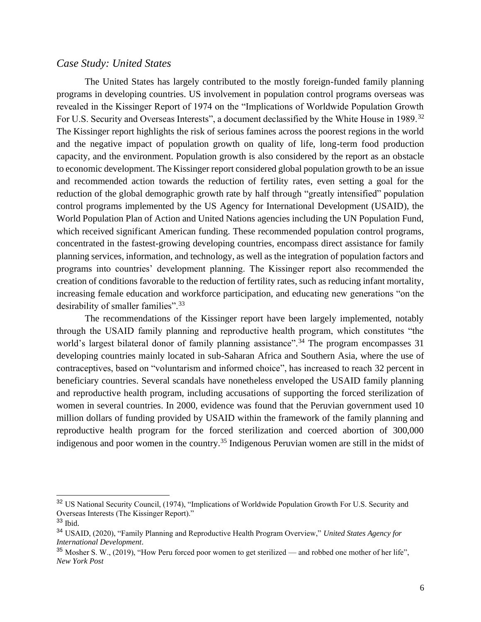### *Case Study: United States*

The United States has largely contributed to the mostly foreign-funded family planning programs in developing countries. US involvement in population control programs overseas was revealed in the Kissinger Report of 1974 on the "Implications of Worldwide Population Growth For U.S. Security and Overseas Interests", a document declassified by the White House in 1989.<sup>32</sup> The Kissinger report highlights the risk of serious famines across the poorest regions in the world and the negative impact of population growth on quality of life, long-term food production capacity, and the environment. Population growth is also considered by the report as an obstacle to economic development. The Kissinger report considered global population growth to be an issue and recommended action towards the reduction of fertility rates, even setting a goal for the reduction of the global demographic growth rate by half through "greatly intensified" population control programs implemented by the US Agency for International Development (USAID), the World Population Plan of Action and United Nations agencies including the UN Population Fund, which received significant American funding. These recommended population control programs, concentrated in the fastest-growing developing countries, encompass direct assistance for family planning services, information, and technology, as well as the integration of population factors and programs into countries' development planning. The Kissinger report also recommended the creation of conditions favorable to the reduction of fertility rates, such as reducing infant mortality, increasing female education and workforce participation, and educating new generations "on the desirability of smaller families".<sup>33</sup>

The recommendations of the Kissinger report have been largely implemented, notably through the USAID family planning and reproductive health program, which constitutes "the world's largest bilateral donor of family planning assistance".<sup>34</sup> The program encompasses 31 developing countries mainly located in sub-Saharan Africa and Southern Asia, where the use of contraceptives, based on "voluntarism and informed choice", has increased to reach 32 percent in beneficiary countries. Several scandals have nonetheless enveloped the USAID family planning and reproductive health program, including accusations of supporting the forced sterilization of women in several countries. In 2000, evidence was found that the Peruvian government used 10 million dollars of funding provided by USAID within the framework of the family planning and reproductive health program for the forced sterilization and coerced abortion of 300,000 indigenous and poor women in the country.<sup>35</sup> Indigenous Peruvian women are still in the midst of

<sup>32</sup> US National Security Council, (1974), "Implications of Worldwide Population Growth For U.S. Security and Overseas Interests (The Kissinger Report)."

 $33$  Ibid.

<sup>34</sup> USAID, (2020), "Family Planning and Reproductive Health Program Overview," *United States Agency for International Development*.

 $35$  Mosher S. W., (2019), "How Peru forced poor women to get sterilized — and robbed one mother of her life", *New York Post*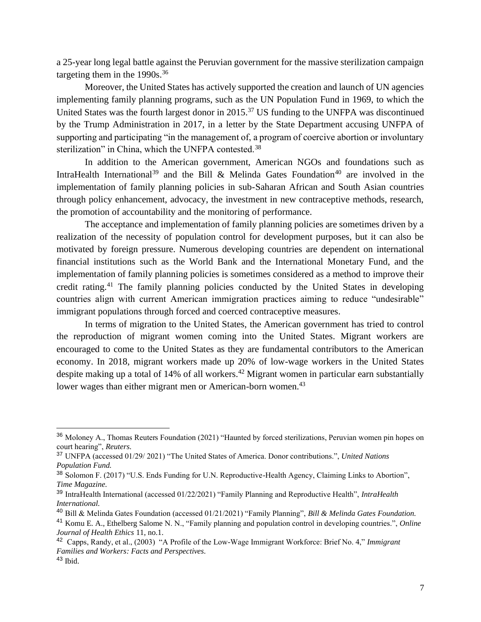a 25-year long legal battle against the Peruvian government for the massive sterilization campaign targeting them in the 1990s.<sup>36</sup>

Moreover, the United States has actively supported the creation and launch of UN agencies implementing family planning programs, such as the UN Population Fund in 1969, to which the United States was the fourth largest donor in 2015.<sup>37</sup> US funding to the UNFPA was discontinued by the Trump Administration in 2017, in a letter by the State Department accusing UNFPA of supporting and participating "in the management of, a program of coercive abortion or involuntary sterilization" in China, which the UNFPA contested.<sup>38</sup>

In addition to the American government, American NGOs and foundations such as IntraHealth International<sup>39</sup> and the Bill & Melinda Gates Foundation<sup>40</sup> are involved in the implementation of family planning policies in sub-Saharan African and South Asian countries through policy enhancement, advocacy, the investment in new contraceptive methods, research, the promotion of accountability and the monitoring of performance.

The acceptance and implementation of family planning policies are sometimes driven by a realization of the necessity of population control for development purposes, but it can also be motivated by foreign pressure. Numerous developing countries are dependent on international financial institutions such as the World Bank and the International Monetary Fund, and the implementation of family planning policies is sometimes considered as a method to improve their credit rating.<sup>41</sup> The family planning policies conducted by the United States in developing countries align with current American immigration practices aiming to reduce "undesirable" immigrant populations through forced and coerced contraceptive measures.

In terms of migration to the United States, the American government has tried to control the reproduction of migrant women coming into the United States. Migrant workers are encouraged to come to the United States as they are fundamental contributors to the American economy. In 2018, migrant workers made up 20% of low-wage workers in the United States despite making up a total of 14% of all workers.<sup>42</sup> Migrant women in particular earn substantially lower wages than either migrant men or American-born women.<sup>43</sup>

<sup>36</sup> Moloney A., Thomas Reuters Foundation (2021) "Haunted by forced sterilizations, Peruvian women pin hopes on court hearing", *Reuters.*

<sup>37</sup> UNFPA (accessed 01/29/ 2021) "The United States of America. Donor contributions.", *United Nations Population Fund.*

<sup>38</sup> Solomon F. (2017) "U.S. Ends Funding for U.N. Reproductive-Health Agency, Claiming Links to Abortion", *Time Magazine.*

<sup>39</sup> IntraHealth International (accessed 01/22/2021) "Family Planning and Reproductive Health", *IntraHealth International.*

<sup>40</sup> Bill & Melinda Gates Foundation (accessed 01/21/2021) "Family Planning", *Bill & Melinda Gates Foundation.*

<sup>41</sup> Komu E. A., Ethelberg Salome N. N., "Family planning and population control in developing countries.", *Online Journal of Health Ethics* 11, no.1.

<sup>42</sup> Capps, Randy, et al., (2003) "A Profile of the Low-Wage Immigrant Workforce: Brief No. 4," *Immigrant Families and Workers: Facts and Perspectives.*  $43$  Ibid.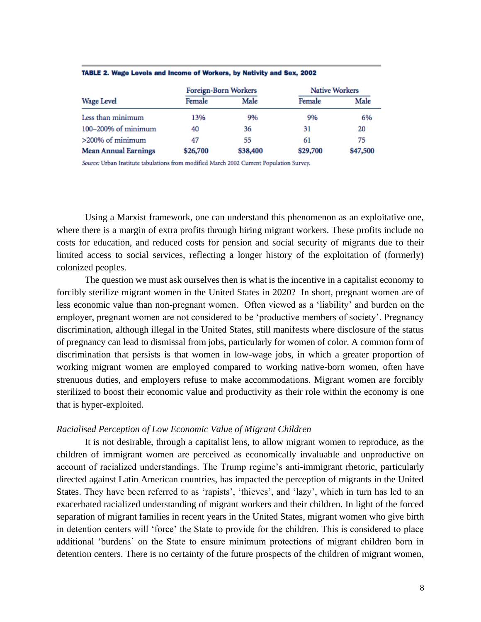| <b>Wage Level</b>           | Foreign-Born Workers |          | <b>Native Workers</b> |          |
|-----------------------------|----------------------|----------|-----------------------|----------|
|                             | Female               | Male     | Female                | Male     |
| Less than minimum           | 13%                  | 9%       | 9%                    | 6%       |
| 100-200% of minimum         | 40                   | 36       | 31                    | 20       |
| $>200\%$ of minimum         | 47                   | 55       | 61                    | 75       |
| <b>Mean Annual Earnings</b> | \$26,700             | \$38,400 | \$29,700              | \$47,500 |

#### TABLE 2. Wage Levels and Income of Workers, by Nativity and Sex, 2002

Source: Urban Institute tabulations from modified March 2002 Current Population Survey.

Using a Marxist framework, one can understand this phenomenon as an exploitative one, where there is a margin of extra profits through hiring migrant workers. These profits include no costs for education, and reduced costs for pension and social security of migrants due to their limited access to social services, reflecting a longer history of the exploitation of (formerly) colonized peoples.

The question we must ask ourselves then is what is the incentive in a capitalist economy to forcibly sterilize migrant women in the United States in 2020? In short, pregnant women are of less economic value than non-pregnant women. Often viewed as a 'liability' and burden on the employer, pregnant women are not considered to be 'productive members of society'. Pregnancy discrimination, although illegal in the United States, still manifests where disclosure of the status of pregnancy can lead to dismissal from jobs, particularly for women of color. A common form of discrimination that persists is that women in low-wage jobs, in which a greater proportion of working migrant women are employed compared to working native-born women, often have strenuous duties, and employers refuse to make accommodations. Migrant women are forcibly sterilized to boost their economic value and productivity as their role within the economy is one that is hyper-exploited.

#### *Racialised Perception of Low Economic Value of Migrant Children*

It is not desirable, through a capitalist lens, to allow migrant women to reproduce, as the children of immigrant women are perceived as economically invaluable and unproductive on account of racialized understandings. The Trump regime's anti-immigrant rhetoric, particularly directed against Latin American countries, has impacted the perception of migrants in the United States. They have been referred to as 'rapists', 'thieves', and 'lazy', which in turn has led to an exacerbated racialized understanding of migrant workers and their children. In light of the forced separation of migrant families in recent years in the United States, migrant women who give birth in detention centers will 'force' the State to provide for the children. This is considered to place additional 'burdens' on the State to ensure minimum protections of migrant children born in detention centers. There is no certainty of the future prospects of the children of migrant women,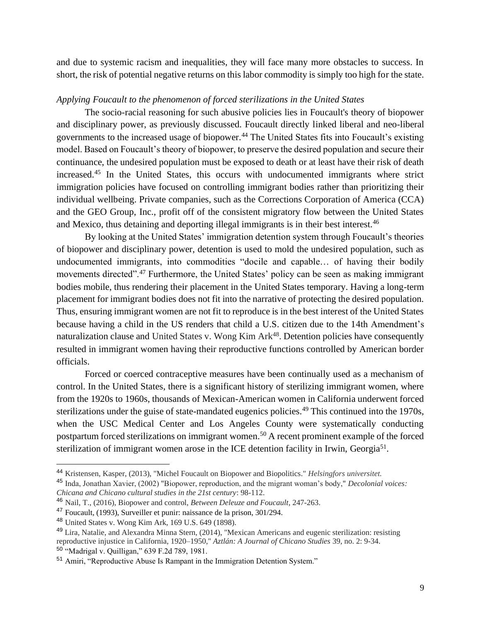and due to systemic racism and inequalities, they will face many more obstacles to success. In short, the risk of potential negative returns on this labor commodity is simply too high for the state.

## *Applying Foucault to the phenomenon of forced sterilizations in the United States*

The socio-racial reasoning for such abusive policies lies in Foucault's theory of biopower and disciplinary power, as previously discussed. Foucault directly linked liberal and neo-liberal governments to the increased usage of biopower.<sup>44</sup> The United States fits into Foucault's existing model. Based on Foucault's theory of biopower, to preserve the desired population and secure their continuance, the undesired population must be exposed to death or at least have their risk of death increased.<sup>45</sup> In the United States, this occurs with undocumented immigrants where strict immigration policies have focused on controlling immigrant bodies rather than prioritizing their individual wellbeing. Private companies, such as the Corrections Corporation of America (CCA) and the GEO Group, Inc., profit off of the consistent migratory flow between the United States and Mexico, thus detaining and deporting illegal immigrants is in their best interest.<sup>46</sup>

By looking at the United States' immigration detention system through Foucault's theories of biopower and disciplinary power, detention is used to mold the undesired population, such as undocumented immigrants, into commodities "docile and capable… of having their bodily movements directed".<sup>47</sup> Furthermore, the United States' policy can be seen as making immigrant bodies mobile, thus rendering their placement in the United States temporary. Having a long-term placement for immigrant bodies does not fit into the narrative of protecting the desired population. Thus, ensuring immigrant women are not fit to reproduce is in the best interest of the United States because having a child in the US renders that child a U.S. citizen due to the 14th Amendment's naturalization clause and United States v. Wong Kim Ark<sup>48</sup>. Detention policies have consequently resulted in immigrant women having their reproductive functions controlled by American border officials.

Forced or coerced contraceptive measures have been continually used as a mechanism of control. In the United States, there is a significant history of sterilizing immigrant women, where from the 1920s to 1960s, thousands of Mexican-American women in California underwent forced sterilizations under the guise of state-mandated eugenics policies.<sup>49</sup> This continued into the 1970s, when the USC Medical Center and Los Angeles County were systematically conducting postpartum forced sterilizations on immigrant women.<sup>50</sup> A recent prominent example of the forced sterilization of immigrant women arose in the ICE detention facility in Irwin, Georgia<sup>51</sup>.

<sup>44</sup> Kristensen, Kasper, (2013), "Michel Foucault on Biopower and Biopolitics." *Helsingfors universitet.*

<sup>45</sup> Inda, Jonathan Xavier, (2002) "Biopower, reproduction, and the migrant woman's body," *Decolonial voices: Chicana and Chicano cultural studies in the 21st century*: 98-112.

<sup>46</sup> Nail, T., (2016), Biopower and control, *Between Deleuze and Foucault*, 247-263.

<sup>47</sup> Foucault, (1993), Surveiller et punir: naissance de la prison, 301/294.

<sup>48</sup> United States v. Wong Kim Ark, 169 U.S. 649 (1898).

<sup>49</sup> Lira, Natalie, and Alexandra Minna Stern, (2014), "Mexican Americans and eugenic sterilization: resisting reproductive injustice in California, 1920–1950," *Aztlán: A Journal of Chicano Studies* 39, no. 2: 9-34. <sup>50</sup> "Madrigal v. Quilligan," 639 F.2d 789, 1981.

<sup>51</sup> Amiri, "Reproductive Abuse Is Rampant in the Immigration Detention System."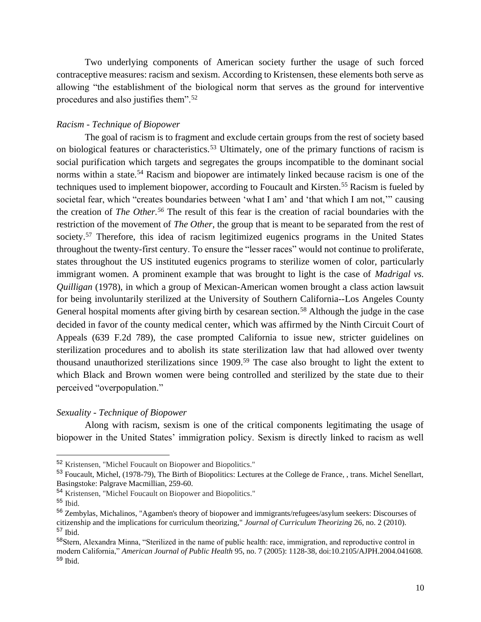Two underlying components of American society further the usage of such forced contraceptive measures: racism and sexism. According to Kristensen, these elements both serve as allowing "the establishment of the biological norm that serves as the ground for interventive procedures and also justifies them".<sup>52</sup>

#### *Racism - Technique of Biopower*

The goal of racism is to fragment and exclude certain groups from the rest of society based on biological features or characteristics.<sup>53</sup> Ultimately, one of the primary functions of racism is social purification which targets and segregates the groups incompatible to the dominant social norms within a state.<sup>54</sup> Racism and biopower are intimately linked because racism is one of the techniques used to implement biopower, according to Foucault and Kirsten.<sup>55</sup> Racism is fueled by societal fear, which "creates boundaries between 'what I am' and 'that which I am not,'" causing the creation of *The Other.<sup>56</sup>* The result of this fear is the creation of racial boundaries with the restriction of the movement of *The Other,* the group that is meant to be separated from the rest of society.<sup>57</sup> Therefore, this idea of racism legitimized eugenics programs in the United States throughout the twenty-first century. To ensure the "lesser races" would not continue to proliferate, states throughout the US instituted eugenics programs to sterilize women of color, particularly immigrant women. A prominent example that was brought to light is the case of *Madrigal vs. Quilligan* (1978), in which a group of Mexican-American women brought a class action lawsuit for being involuntarily sterilized at the University of Southern California--Los Angeles County General hospital moments after giving birth by cesarean section.<sup>58</sup> Although the judge in the case decided in favor of the county medical center, which was affirmed by the Ninth Circuit Court of Appeals (639 F.2d 789), the case prompted California to issue new, stricter guidelines on sterilization procedures and to abolish its state sterilization law that had allowed over twenty thousand unauthorized sterilizations since 1909.<sup>59</sup> The case also brought to light the extent to which Black and Brown women were being controlled and sterilized by the state due to their perceived "overpopulation."

#### *Sexuality - Technique of Biopower*

Along with racism, sexism is one of the critical components legitimating the usage of biopower in the United States' immigration policy. Sexism is directly linked to racism as well

<sup>52</sup> Kristensen, "Michel Foucault on Biopower and Biopolitics."

<sup>53</sup> Foucault, Michel, (1978-79), The Birth of Biopolitics: Lectures at the College de France, , trans. Michel Senellart, Basingstoke: Palgrave Macmillian, 259-60.

<sup>54</sup> Kristensen, "Michel Foucault on Biopower and Biopolitics."

 $55$  Ibid.

<sup>56</sup> Zembylas, Michalinos, "Agamben's theory of biopower and immigrants/refugees/asylum seekers: Discourses of citizenship and the implications for curriculum theorizing," *Journal of Curriculum Theorizing* 26, no. 2 (2010). <sup>57</sup> Ibid.

<sup>58</sup>Stern, Alexandra Minna, "Sterilized in the name of public health: race, immigration, and reproductive control in modern California," *American Journal of Public Health* 95, no. 7 (2005): 1128-38, doi:10.2105/AJPH.2004.041608. <sup>59</sup> Ibid.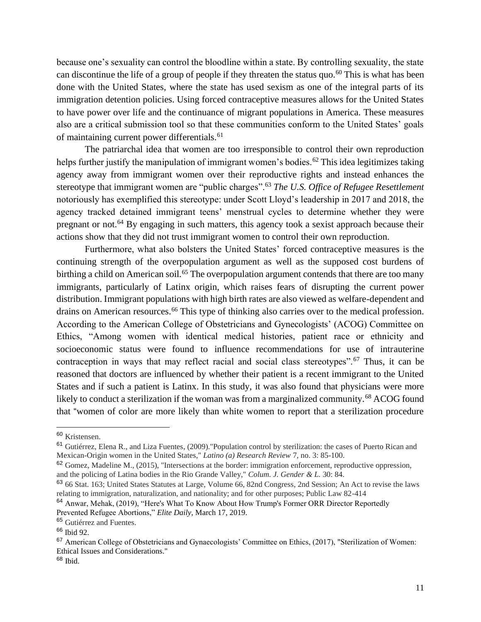because one's sexuality can control the bloodline within a state. By controlling sexuality, the state can discontinue the life of a group of people if they threaten the status quo.<sup>60</sup> This is what has been done with the United States, where the state has used sexism as one of the integral parts of its immigration detention policies. Using forced contraceptive measures allows for the United States to have power over life and the continuance of migrant populations in America. These measures also are a critical submission tool so that these communities conform to the United States' goals of maintaining current power differentials.<sup>61</sup>

The patriarchal idea that women are too irresponsible to control their own reproduction helps further justify the manipulation of immigrant women's bodies.<sup>62</sup> This idea legitimizes taking agency away from immigrant women over their reproductive rights and instead enhances the stereotype that immigrant women are "public charges".<sup>63</sup> *The U.S. Office of Refugee Resettlement*  notoriously has exemplified this stereotype: under Scott Lloyd's leadership in 2017 and 2018, the agency tracked detained immigrant teens' menstrual cycles to determine whether they were pregnant or not.<sup>64</sup> By engaging in such matters, this agency took a sexist approach because their actions show that they did not trust immigrant women to control their own reproduction.

Furthermore, what also bolsters the United States' forced contraceptive measures is the continuing strength of the overpopulation argument as well as the supposed cost burdens of birthing a child on American soil.<sup>65</sup> The overpopulation argument contends that there are too many immigrants, particularly of Latinx origin, which raises fears of disrupting the current power distribution. Immigrant populations with high birth rates are also viewed as welfare-dependent and drains on American resources.<sup>66</sup> This type of thinking also carries over to the medical profession. According to the American College of Obstetricians and Gynecologists' (ACOG) Committee on Ethics, "Among women with identical medical histories, patient race or ethnicity and socioeconomic status were found to influence recommendations for use of intrauterine contraception in ways that may reflect racial and social class stereotypes".<sup>67</sup> Thus, it can be reasoned that doctors are influenced by whether their patient is a recent immigrant to the United States and if such a patient is Latinx. In this study, it was also found that physicians were more likely to conduct a sterilization if the woman was from a marginalized community.<sup>68</sup> ACOG found that "women of color are more likely than white women to report that a sterilization procedure

<sup>60</sup> Kristensen.

<sup>61</sup> Gutiérrez, Elena R., and Liza Fuentes, (2009)."Population control by sterilization: the cases of Puerto Rican and Mexican-Origin women in the United States," *Latino (a) Research Review* 7, no. 3: 85-100.

 $62$  Gomez, Madeline M., (2015), "Intersections at the border: immigration enforcement, reproductive oppression, and the policing of Latina bodies in the Rio Grande Valley," *Colum. J. Gender & L.* 30: 84.

<sup>63</sup> 66 Stat. 163; United States Statutes at Large, Volume 66, 82nd Congress, 2nd Session; An Act to revise the laws relating to immigration, naturalization, and nationality; and for other purposes; Public Law 82-414

<sup>&</sup>lt;sup>64</sup> Anwar, Mehak, (2019), "Here's What To Know About How Trump's Former ORR Director Reportedly Prevented Refugee Abortions," *Elite Daily*, March 17, 2019.

<sup>65</sup> Gutiérrez and Fuentes.

<sup>66</sup> Ibid 92.

 $67$  American College of Obstetricians and Gynaecologists' Committee on Ethics, (2017), "Sterilization of Women: Ethical Issues and Considerations."

 $68$  Ibid.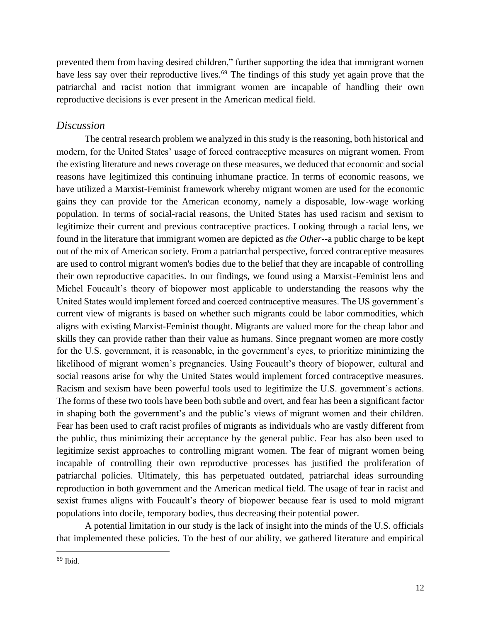prevented them from having desired children," further supporting the idea that immigrant women have less say over their reproductive lives.<sup>69</sup> The findings of this study yet again prove that the patriarchal and racist notion that immigrant women are incapable of handling their own reproductive decisions is ever present in the American medical field.

# *Discussion*

The central research problem we analyzed in this study is the reasoning, both historical and modern, for the United States' usage of forced contraceptive measures on migrant women. From the existing literature and news coverage on these measures, we deduced that economic and social reasons have legitimized this continuing inhumane practice. In terms of economic reasons, we have utilized a Marxist-Feminist framework whereby migrant women are used for the economic gains they can provide for the American economy, namely a disposable, low-wage working population. In terms of social-racial reasons, the United States has used racism and sexism to legitimize their current and previous contraceptive practices. Looking through a racial lens, we found in the literature that immigrant women are depicted as *the Other*--a public charge to be kept out of the mix of American society. From a patriarchal perspective, forced contraceptive measures are used to control migrant women's bodies due to the belief that they are incapable of controlling their own reproductive capacities. In our findings, we found using a Marxist-Feminist lens and Michel Foucault's theory of biopower most applicable to understanding the reasons why the United States would implement forced and coerced contraceptive measures. The US government's current view of migrants is based on whether such migrants could be labor commodities, which aligns with existing Marxist-Feminist thought. Migrants are valued more for the cheap labor and skills they can provide rather than their value as humans. Since pregnant women are more costly for the U.S. government, it is reasonable, in the government's eyes, to prioritize minimizing the likelihood of migrant women's pregnancies. Using Foucault's theory of biopower, cultural and social reasons arise for why the United States would implement forced contraceptive measures. Racism and sexism have been powerful tools used to legitimize the U.S. government's actions. The forms of these two tools have been both subtle and overt, and fear has been a significant factor in shaping both the government's and the public's views of migrant women and their children. Fear has been used to craft racist profiles of migrants as individuals who are vastly different from the public, thus minimizing their acceptance by the general public. Fear has also been used to legitimize sexist approaches to controlling migrant women. The fear of migrant women being incapable of controlling their own reproductive processes has justified the proliferation of patriarchal policies. Ultimately, this has perpetuated outdated, patriarchal ideas surrounding reproduction in both government and the American medical field. The usage of fear in racist and sexist frames aligns with Foucault's theory of biopower because fear is used to mold migrant populations into docile, temporary bodies, thus decreasing their potential power.

A potential limitation in our study is the lack of insight into the minds of the U.S. officials that implemented these policies. To the best of our ability, we gathered literature and empirical

<sup>69</sup> Ibid.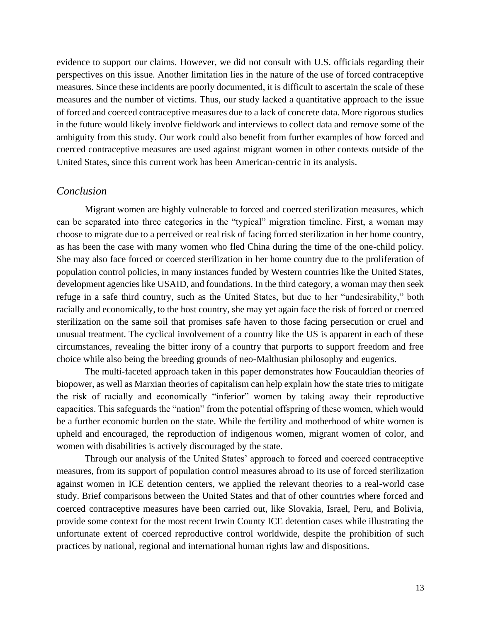evidence to support our claims. However, we did not consult with U.S. officials regarding their perspectives on this issue. Another limitation lies in the nature of the use of forced contraceptive measures. Since these incidents are poorly documented, it is difficult to ascertain the scale of these measures and the number of victims. Thus, our study lacked a quantitative approach to the issue of forced and coerced contraceptive measures due to a lack of concrete data. More rigorous studies in the future would likely involve fieldwork and interviews to collect data and remove some of the ambiguity from this study. Our work could also benefit from further examples of how forced and coerced contraceptive measures are used against migrant women in other contexts outside of the United States, since this current work has been American-centric in its analysis.

## *Conclusion*

Migrant women are highly vulnerable to forced and coerced sterilization measures, which can be separated into three categories in the "typical" migration timeline. First, a woman may choose to migrate due to a perceived or real risk of facing forced sterilization in her home country, as has been the case with many women who fled China during the time of the one-child policy. She may also face forced or coerced sterilization in her home country due to the proliferation of population control policies, in many instances funded by Western countries like the United States, development agencies like USAID, and foundations. In the third category, a woman may then seek refuge in a safe third country, such as the United States, but due to her "undesirability," both racially and economically, to the host country, she may yet again face the risk of forced or coerced sterilization on the same soil that promises safe haven to those facing persecution or cruel and unusual treatment. The cyclical involvement of a country like the US is apparent in each of these circumstances, revealing the bitter irony of a country that purports to support freedom and free choice while also being the breeding grounds of neo-Malthusian philosophy and eugenics.

The multi-faceted approach taken in this paper demonstrates how Foucauldian theories of biopower, as well as Marxian theories of capitalism can help explain how the state tries to mitigate the risk of racially and economically "inferior" women by taking away their reproductive capacities. This safeguards the "nation" from the potential offspring of these women, which would be a further economic burden on the state. While the fertility and motherhood of white women is upheld and encouraged, the reproduction of indigenous women, migrant women of color, and women with disabilities is actively discouraged by the state.

Through our analysis of the United States' approach to forced and coerced contraceptive measures, from its support of population control measures abroad to its use of forced sterilization against women in ICE detention centers, we applied the relevant theories to a real-world case study. Brief comparisons between the United States and that of other countries where forced and coerced contraceptive measures have been carried out, like Slovakia, Israel, Peru, and Bolivia, provide some context for the most recent Irwin County ICE detention cases while illustrating the unfortunate extent of coerced reproductive control worldwide, despite the prohibition of such practices by national, regional and international human rights law and dispositions.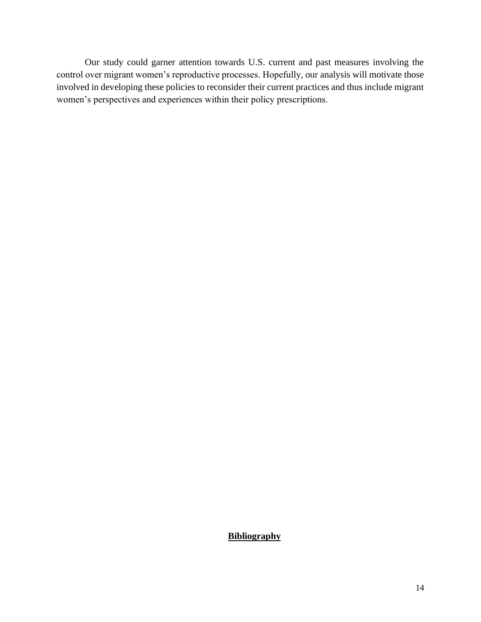Our study could garner attention towards U.S. current and past measures involving the control over migrant women's reproductive processes. Hopefully, our analysis will motivate those involved in developing these policies to reconsider their current practices and thus include migrant women's perspectives and experiences within their policy prescriptions.

**Bibliography**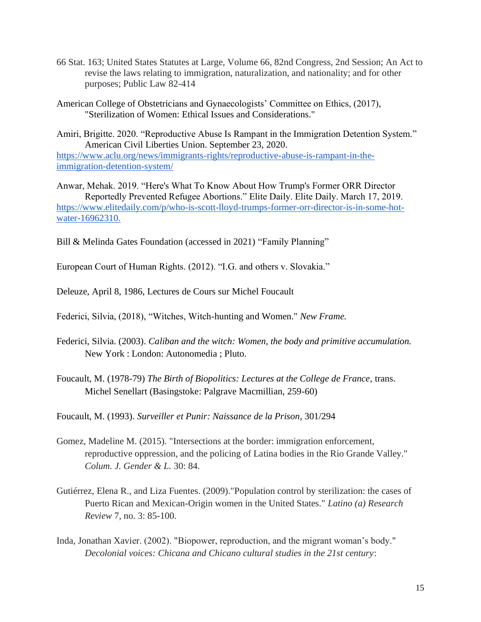- 66 Stat. 163; United States Statutes at Large, Volume 66, 82nd Congress, 2nd Session; An Act to revise the laws relating to immigration, naturalization, and nationality; and for other purposes; Public Law 82-414
- American College of Obstetricians and Gynaecologists' Committee on Ethics, (2017), "Sterilization of Women: Ethical Issues and Considerations."

Amiri, Brigitte. 2020. "Reproductive Abuse Is Rampant in the Immigration Detention System." American Civil Liberties Union. September 23, 2020. [https://www.aclu.org/news/immigrants-rights/reproductive-abuse-is-rampant-in-the](https://www.aclu.org/news/immigrants-rights/reproductive-abuse-is-rampant-in-the-immi)[immigration-detention-system/](https://www.aclu.org/news/immigrants-rights/reproductive-abuse-is-rampant-in-the-immi)

Anwar, Mehak. 2019. "Here's What To Know About How Trump's Former ORR Director Reportedly Prevented Refugee Abortions." Elite Daily. Elite Daily. March 17, 2019. [https://www.elitedaily.com/p/who-is-scott-lloyd-trumps-former-orr-director-is-in-some-hot](https://www.elitedaily.com/p/who-is-scott-lloyd-trumps-former-orr-director-is-in-some-h)[water-16962310.](https://www.elitedaily.com/p/who-is-scott-lloyd-trumps-former-orr-director-is-in-some-h) 

Bill & Melinda Gates Foundation (accessed in 2021) "Family Planning"

European Court of Human Rights. (2012). "I.G. and others v. Slovakia."

Deleuze, April 8, 1986, Lectures de Cours sur Michel Foucault

Federici, Silvia, (2018), "Witches, Witch-hunting and Women." *New Frame.*

- Federici, Silvia. (2003). *Caliban and the witch: Women, the body and primitive accumulation.* New York : London: Autonomedia ; Pluto.
- Foucault, M. (1978-79) *The Birth of Biopolitics: Lectures at the College de France*, trans. Michel Senellart (Basingstoke: Palgrave Macmillian, 259-60)

Foucault, M. (1993). *Surveiller et Punir: Naissance de la Prison*, 301/294

- Gomez, Madeline M. (2015). "Intersections at the border: immigration enforcement, reproductive oppression, and the policing of Latina bodies in the Rio Grande Valley." *Colum. J. Gender & L.* 30: 84.
- Gutiérrez, Elena R., and Liza Fuentes. (2009)."Population control by sterilization: the cases of Puerto Rican and Mexican-Origin women in the United States." *Latino (a) Research Review* 7, no. 3: 85-100.
- Inda, Jonathan Xavier. (2002). "Biopower, reproduction, and the migrant woman's body." *Decolonial voices: Chicana and Chicano cultural studies in the 21st century*: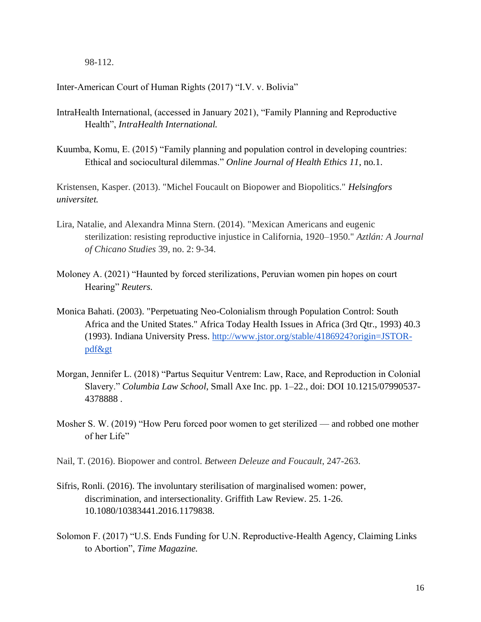98-112.

Inter-American Court of Human Rights (2017) "I.V. v. Bolivia"

- IntraHealth International, (accessed in January 2021), "Family Planning and Reproductive Health", *IntraHealth International.*
- Kuumba, Komu, E. (2015) "Family planning and population control in developing countries: Ethical and sociocultural dilemmas." *Online Journal of Health Ethics 11*, no*.*1.

Kristensen, Kasper. (2013). "Michel Foucault on Biopower and Biopolitics." *Helsingfors universitet.*

- Lira, Natalie, and Alexandra Minna Stern. (2014). "Mexican Americans and eugenic sterilization: resisting reproductive injustice in California, 1920–1950." *Aztlán: A Journal of Chicano Studies* 39, no. 2: 9-34.
- Moloney A. (2021) "Haunted by forced sterilizations, Peruvian women pin hopes on court Hearing" *Reuters.*
- Monica Bahati. (2003). "Perpetuating Neo-Colonialism through Population Control: South Africa and the United States." Africa Today Health Issues in Africa (3rd Qtr., 1993) 40.3 (1993). Indiana University Press. [http://www.jstor.org/stable/4186924?origin=JSTOR](http://www.jstor.org/stable/4186924?origin=JSTOR-pdf>)[pdf&gt](http://www.jstor.org/stable/4186924?origin=JSTOR-pdf>)
- Morgan, Jennifer L. (2018) "Partus Sequitur Ventrem: Law, Race, and Reproduction in Colonial Slavery." *Columbia Law School*, Small Axe Inc. pp. 1–22., doi: DOI 10.1215/07990537- 4378888.
- Mosher S. W. (2019) "How Peru forced poor women to get sterilized and robbed one mother of her Life"
- Nail, T. (2016). Biopower and control. *Between Deleuze and Foucault*, 247-263.
- Sifris, Ronli. (2016). The involuntary sterilisation of marginalised women: power, discrimination, and intersectionality. Griffith Law Review. 25. 1-26. 10.1080/10383441.2016.1179838.
- Solomon F. (2017) "U.S. Ends Funding for U.N. Reproductive-Health Agency, Claiming Links to Abortion", *Time Magazine.*